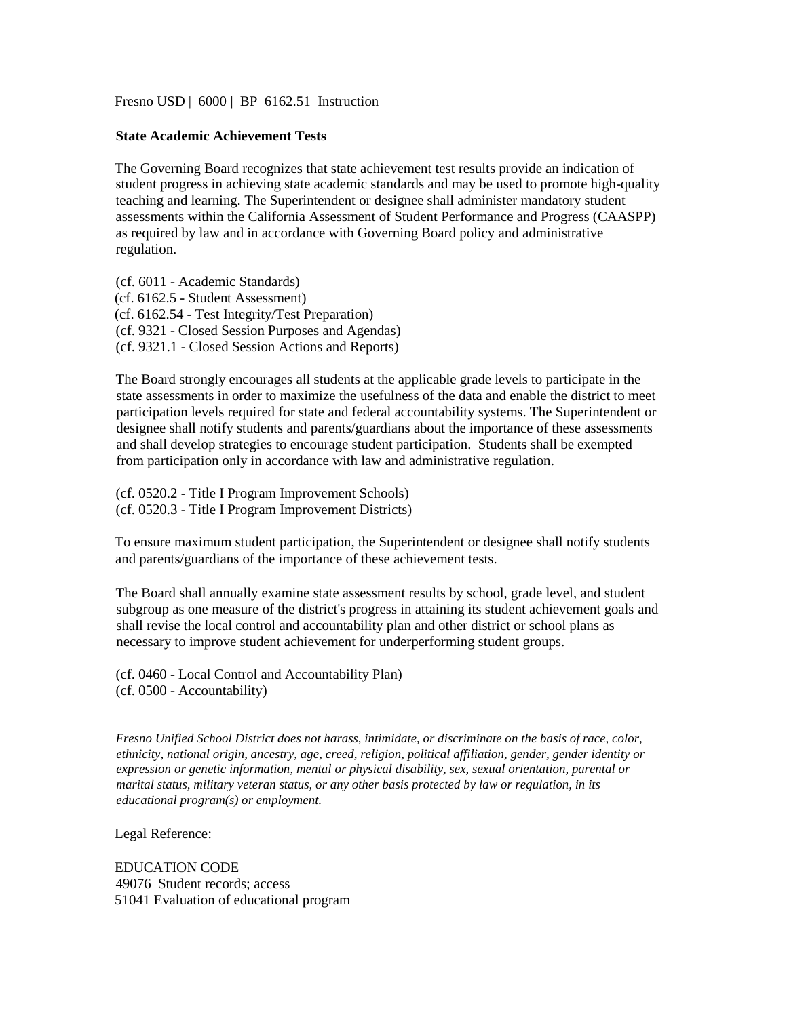Fresno USD | 6000 | BP 6162.51 Instruction

## **State Academic Achievement Tests**

The Governing Board recognizes that state achievement test results provide an indication of student progress in achieving state academic standards and may be used to promote high-quality teaching and learning. The Superintendent or designee shall administer mandatory student assessments within the California Assessment of Student Performance and Progress (CAASPP) as required by law and in accordance with Governing Board policy and administrative regulation.

(cf. 6011 - Academic Standards) (cf. 6162.5 - Student Assessment) (cf. 6162.54 - Test Integrity/Test Preparation) (cf. 9321 - Closed Session Purposes and Agendas) (cf. 9321.1 - Closed Session Actions and Reports)

The Board strongly encourages all students at the applicable grade levels to participate in the state assessments in order to maximize the usefulness of the data and enable the district to meet participation levels required for state and federal accountability systems. The Superintendent or designee shall notify students and parents/guardians about the importance of these assessments and shall develop strategies to encourage student participation. Students shall be exempted from participation only in accordance with law and administrative regulation.

(cf. 0520.2 - Title I Program Improvement Schools) (cf. 0520.3 - Title I Program Improvement Districts)

To ensure maximum student participation, the Superintendent or designee shall notify students and parents/guardians of the importance of these achievement tests.

The Board shall annually examine state assessment results by school, grade level, and student subgroup as one measure of the district's progress in attaining its student achievement goals and shall revise the local control and accountability plan and other district or school plans as necessary to improve student achievement for underperforming student groups.

(cf. 0460 - Local Control and Accountability Plan) (cf. 0500 - Accountability)

*Fresno Unified School District does not harass, intimidate, or discriminate on the basis of race, color, ethnicity, national origin, ancestry, age, creed, religion, political affiliation, gender, gender identity or expression or genetic information, mental or physical disability, sex, sexual orientation, parental or marital status, military veteran status, or any other basis protected by law or regulation, in its educational program(s) or employment.*

Legal Reference:

EDUCATION CODE 49076 Student records; access 51041 Evaluation of educational program